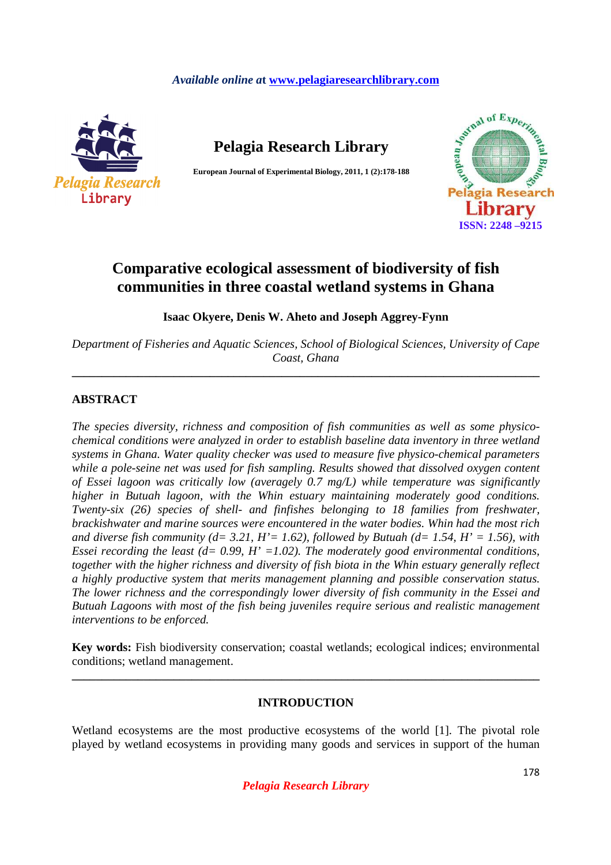# *Available online a***t www.pelagiaresearchlibrary.com**



**Pelagia Research Library** 

**European Journal of Experimental Biology, 2011, 1 (2):178-188** 



# **Comparative ecological assessment of biodiversity of fish communities in three coastal wetland systems in Ghana**

**Isaac Okyere, Denis W. Aheto and Joseph Aggrey-Fynn**

*Department of Fisheries and Aquatic Sciences, School of Biological Sciences, University of Cape Coast, Ghana* 

**\_\_\_\_\_\_\_\_\_\_\_\_\_\_\_\_\_\_\_\_\_\_\_\_\_\_\_\_\_\_\_\_\_\_\_\_\_\_\_\_\_\_\_\_\_\_\_\_\_\_\_\_\_\_\_\_\_\_\_\_\_\_\_\_\_\_\_\_\_\_\_\_\_\_\_\_\_\_** 

# **ABSTRACT**

*The species diversity, richness and composition of fish communities as well as some physicochemical conditions were analyzed in order to establish baseline data inventory in three wetland systems in Ghana. Water quality checker was used to measure five physico-chemical parameters while a pole-seine net was used for fish sampling. Results showed that dissolved oxygen content of Essei lagoon was critically low (averagely 0.7 mg/L) while temperature was significantly higher in Butuah lagoon, with the Whin estuary maintaining moderately good conditions. Twenty-six (26) species of shell- and finfishes belonging to 18 families from freshwater, brackishwater and marine sources were encountered in the water bodies. Whin had the most rich*  and diverse fish community ( $d= 3.21$ ,  $H'= 1.62$ ), followed by Butuah ( $d= 1.54$ ,  $H'= 1.56$ ), with *Essei recording the least (d= 0.99, H' =1.02). The moderately good environmental conditions, together with the higher richness and diversity of fish biota in the Whin estuary generally reflect a highly productive system that merits management planning and possible conservation status. The lower richness and the correspondingly lower diversity of fish community in the Essei and Butuah Lagoons with most of the fish being juveniles require serious and realistic management interventions to be enforced.* 

**Key words:** Fish biodiversity conservation; coastal wetlands; ecological indices; environmental conditions; wetland management.

**\_\_\_\_\_\_\_\_\_\_\_\_\_\_\_\_\_\_\_\_\_\_\_\_\_\_\_\_\_\_\_\_\_\_\_\_\_\_\_\_\_\_\_\_\_\_\_\_\_\_\_\_\_\_\_\_\_\_\_\_\_\_\_\_\_\_\_\_\_\_\_\_\_\_\_\_\_\_** 

# **INTRODUCTION**

Wetland ecosystems are the most productive ecosystems of the world [1]. The pivotal role played by wetland ecosystems in providing many goods and services in support of the human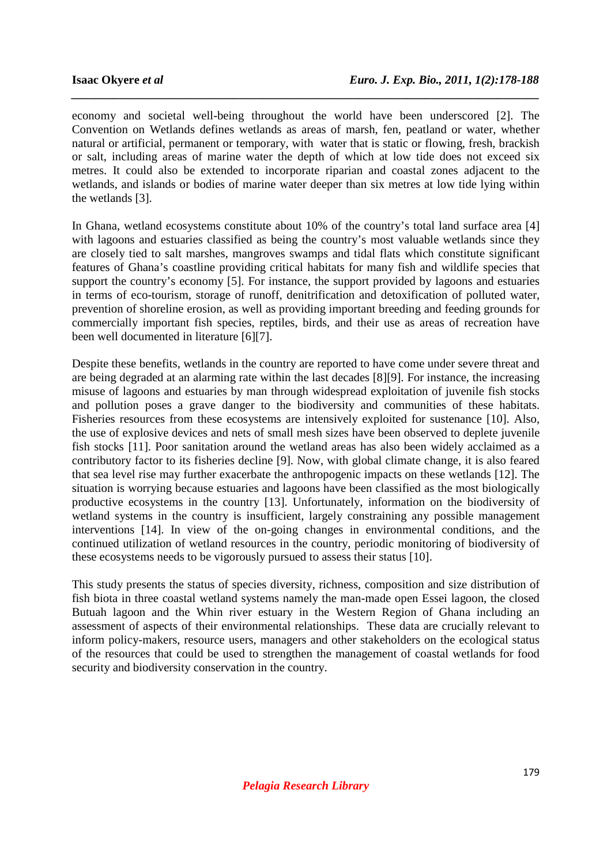economy and societal well-being throughout the world have been underscored [2]. The Convention on Wetlands defines wetlands as areas of marsh, fen, peatland or water, whether natural or artificial, permanent or temporary, with water that is static or flowing, fresh, brackish or salt, including areas of marine water the depth of which at low tide does not exceed six metres. It could also be extended to incorporate riparian and coastal zones adjacent to the wetlands, and islands or bodies of marine water deeper than six metres at low tide lying within the wetlands [3].

*\_\_\_\_\_\_\_\_\_\_\_\_\_\_\_\_\_\_\_\_\_\_\_\_\_\_\_\_\_\_\_\_\_\_\_\_\_\_\_\_\_\_\_\_\_\_\_\_\_\_\_\_\_\_\_\_\_\_\_\_\_\_\_\_\_\_\_\_\_\_\_\_\_\_\_\_\_\_*

In Ghana, wetland ecosystems constitute about 10% of the country's total land surface area [4] with lagoons and estuaries classified as being the country's most valuable wetlands since they are closely tied to salt marshes, mangroves swamps and tidal flats which constitute significant features of Ghana's coastline providing critical habitats for many fish and wildlife species that support the country's economy [5]. For instance, the support provided by lagoons and estuaries in terms of eco-tourism, storage of runoff, denitrification and detoxification of polluted water, prevention of shoreline erosion, as well as providing important breeding and feeding grounds for commercially important fish species, reptiles, birds, and their use as areas of recreation have been well documented in literature [6][7].

Despite these benefits, wetlands in the country are reported to have come under severe threat and are being degraded at an alarming rate within the last decades [8][9]. For instance, the increasing misuse of lagoons and estuaries by man through widespread exploitation of juvenile fish stocks and pollution poses a grave danger to the biodiversity and communities of these habitats. Fisheries resources from these ecosystems are intensively exploited for sustenance [10]. Also, the use of explosive devices and nets of small mesh sizes have been observed to deplete juvenile fish stocks [11]. Poor sanitation around the wetland areas has also been widely acclaimed as a contributory factor to its fisheries decline [9]. Now, with global climate change, it is also feared that sea level rise may further exacerbate the anthropogenic impacts on these wetlands [12]. The situation is worrying because estuaries and lagoons have been classified as the most biologically productive ecosystems in the country [13]. Unfortunately, information on the biodiversity of wetland systems in the country is insufficient, largely constraining any possible management interventions [14]. In view of the on-going changes in environmental conditions, and the continued utilization of wetland resources in the country, periodic monitoring of biodiversity of these ecosystems needs to be vigorously pursued to assess their status [10].

This study presents the status of species diversity, richness, composition and size distribution of fish biota in three coastal wetland systems namely the man-made open Essei lagoon, the closed Butuah lagoon and the Whin river estuary in the Western Region of Ghana including an assessment of aspects of their environmental relationships. These data are crucially relevant to inform policy-makers, resource users, managers and other stakeholders on the ecological status of the resources that could be used to strengthen the management of coastal wetlands for food security and biodiversity conservation in the country.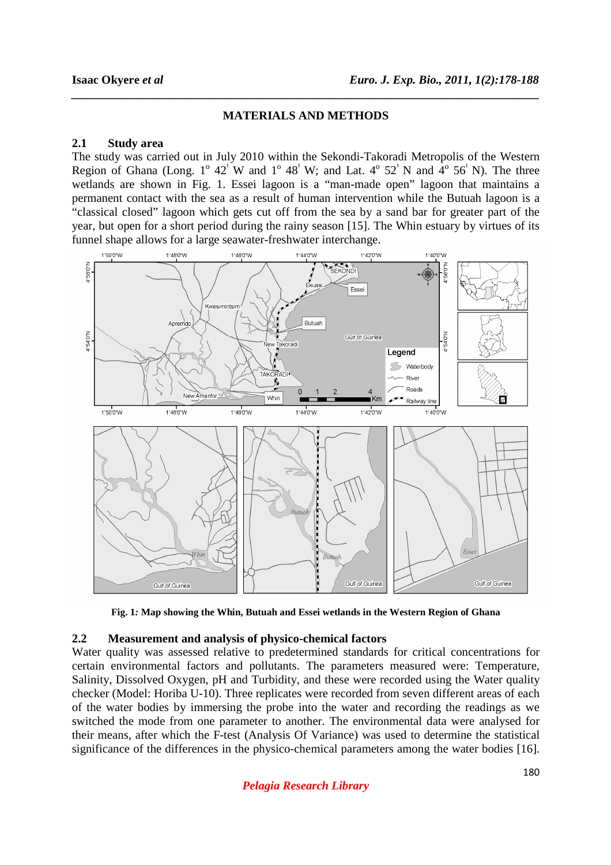#### **MATERIALS AND METHODS**

*\_\_\_\_\_\_\_\_\_\_\_\_\_\_\_\_\_\_\_\_\_\_\_\_\_\_\_\_\_\_\_\_\_\_\_\_\_\_\_\_\_\_\_\_\_\_\_\_\_\_\_\_\_\_\_\_\_\_\_\_\_\_\_\_\_\_\_\_\_\_\_\_\_\_\_\_\_\_*

#### **2.1 Study area**

The study was carried out in July 2010 within the Sekondi-Takoradi Metropolis of the Western Region of Ghana (Long.  $1^{\circ}$  42<sup> $\cdot$ </sup>W and  $1^{\circ}$  48<sup> $\cdot$ </sup>W; and Lat.  $4^{\circ}$  52<sup> $\cdot$ </sup>N and  $4^{\circ}$  56<sup> $\cdot$ </sup>N). The three wetlands are shown in Fig. 1. Essei lagoon is a "man-made open" lagoon that maintains a permanent contact with the sea as a result of human intervention while the Butuah lagoon is a "classical closed" lagoon which gets cut off from the sea by a sand bar for greater part of the year, but open for a short period during the rainy season [15]. The Whin estuary by virtues of its funnel shape allows for a large seawater-freshwater interchange.



**Fig. 1***:* **Map showing the Whin, Butuah and Essei wetlands in the Western Region of Ghana** 

#### **2.2 Measurement and analysis of physico-chemical factors**

Water quality was assessed relative to predetermined standards for critical concentrations for certain environmental factors and pollutants. The parameters measured were: Temperature, Salinity, Dissolved Oxygen, pH and Turbidity, and these were recorded using the Water quality checker (Model: Horiba U-10). Three replicates were recorded from seven different areas of each of the water bodies by immersing the probe into the water and recording the readings as we switched the mode from one parameter to another. The environmental data were analysed for their means, after which the F-test (Analysis Of Variance) was used to determine the statistical significance of the differences in the physico-chemical parameters among the water bodies [16].

*Pelagia Research Library*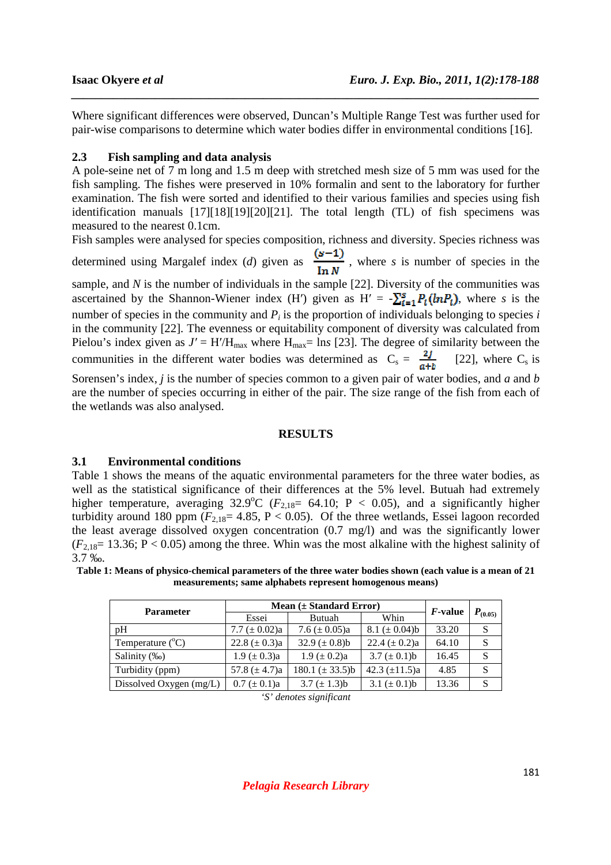Where significant differences were observed, Duncan's Multiple Range Test was further used for pair-wise comparisons to determine which water bodies differ in environmental conditions [16].

*\_\_\_\_\_\_\_\_\_\_\_\_\_\_\_\_\_\_\_\_\_\_\_\_\_\_\_\_\_\_\_\_\_\_\_\_\_\_\_\_\_\_\_\_\_\_\_\_\_\_\_\_\_\_\_\_\_\_\_\_\_\_\_\_\_\_\_\_\_\_\_\_\_\_\_\_\_\_*

### **2.3 Fish sampling and data analysis**

A pole-seine net of 7 m long and 1.5 m deep with stretched mesh size of 5 mm was used for the fish sampling. The fishes were preserved in 10% formalin and sent to the laboratory for further examination. The fish were sorted and identified to their various families and species using fish identification manuals  $[17][18][19][20][21]$ . The total length (TL) of fish specimens was measured to the nearest 0.1cm.

Fish samples were analysed for species composition, richness and diversity. Species richness was determined using Margalef index (*d*) given as  $\frac{(s-1)}{\ln N}$ , where *s* is number of species in the sample, and *N* is the number of individuals in the sample [22]. Diversity of the communities was ascertained by the Shannon-Wiener index (H') given as  $H' = -\sum_{i=1}^{s} P_i(lnP_i)$ , where *s* is the number of species in the community and  $P_i$  is the proportion of individuals belonging to species *i* in the community [22]. The evenness or equitability component of diversity was calculated from Pielou's index given as  $J' = H'/H_{\text{max}}$  where  $H_{\text{max}} = \text{ln}s$  [23]. The degree of similarity between the communities in the different water bodies was determined as  $C_s = \frac{2j}{a+b}$  [22], where C<sub>s</sub> is

Sorensen's index, *j* is the number of species common to a given pair of water bodies, and *a* and *b* are the number of species occurring in either of the pair. The size range of the fish from each of the wetlands was also analysed.

#### **RESULTS**

### **3.1 Environmental conditions**

Table 1 shows the means of the aquatic environmental parameters for the three water bodies, as well as the statistical significance of their differences at the 5% level. Butuah had extremely higher temperature, averaging  $32.9^{\circ}C$  ( $F_{2,18}$ = 64.10; P < 0.05), and a significantly higher turbidity around 180 ppm  $(F_{2,18}=4.85, P<0.05)$ . Of the three wetlands, Essei lagoon recorded the least average dissolved oxygen concentration (0.7 mg/l) and was the significantly lower  $(F_{2,18}=13.36; P<0.05)$  among the three. Whin was the most alkaline with the highest salinity of 3.7 ‰.

**Table 1: Means of physico-chemical parameters of the three water bodies shown (each value is a mean of 21 measurements; same alphabets represent homogenous means)** 

| <b>Parameter</b>          | Mean $(\pm$ Standard Error) |                     |                    |                 |              |
|---------------------------|-----------------------------|---------------------|--------------------|-----------------|--------------|
|                           | Essei                       | Butuah              | Whin               | <i>F</i> -value | $P_{(0.05)}$ |
| pΗ                        | 7.7 ( $\pm$ 0.02)a          | 7.6 ( $\pm$ 0.05)a  | 8.1 ( $\pm$ 0.04)b | 33.20           | S            |
| Temperature $(^{\circ}C)$ | 22.8 ( $\pm$ 0.3)a          | 32.9 $(\pm 0.8)$ b  | 22.4 $(\pm 0.2)a$  | 64.10           | S            |
| Salinity (‰)              | $1.9 \ (\pm 0.3)a$          | $1.9 \ (\pm 0.2)a$  | 3.7 $(\pm 0.1)$ b  | 16.45           | S            |
| Turbidity (ppm)           | 57.8 $(\pm 4.7)a$           | $180.1 (\pm 33.5)b$ | 42.3 $(\pm 11.5)a$ | 4.85            | S            |
| Dissolved Oxygen (mg/L)   | $0.7 (\pm 0.1)a$            | 3.7 $(\pm 1.3)$ b   | 3.1 $(\pm 0.1)$ b  | 13.36           | S            |

*<sup>&#</sup>x27;S' denotes significant*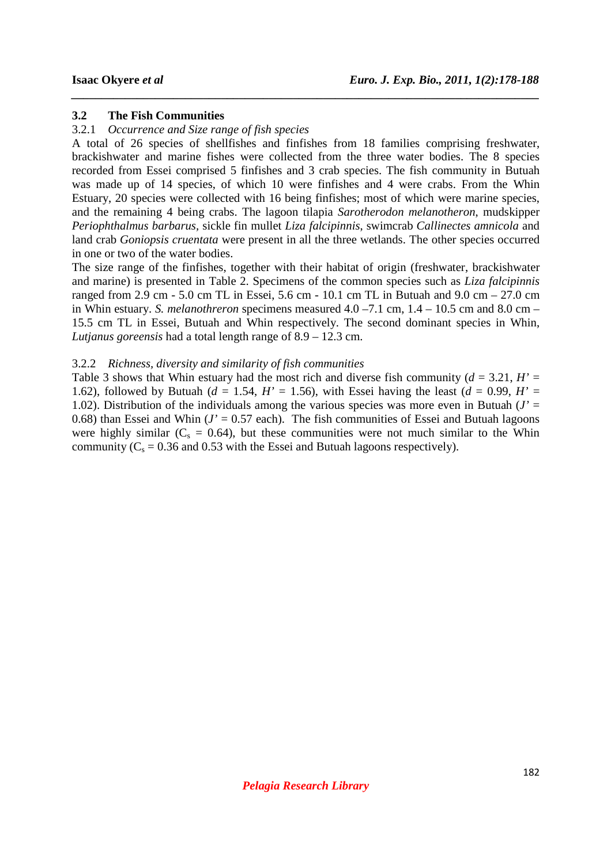#### **3.2 The Fish Communities**

#### 3.2.1 *Occurrence and Size range of fish species*

A total of 26 species of shellfishes and finfishes from 18 families comprising freshwater, brackishwater and marine fishes were collected from the three water bodies. The 8 species recorded from Essei comprised 5 finfishes and 3 crab species. The fish community in Butuah was made up of 14 species, of which 10 were finfishes and 4 were crabs. From the Whin Estuary, 20 species were collected with 16 being finfishes; most of which were marine species, and the remaining 4 being crabs. The lagoon tilapia *Sarotherodon melanotheron*, mudskipper *Periophthalmus barbarus,* sickle fin mullet *Liza falcipinnis*, swimcrab *Callinectes amnicola* and land crab *Goniopsis cruentata* were present in all the three wetlands. The other species occurred in one or two of the water bodies.

*\_\_\_\_\_\_\_\_\_\_\_\_\_\_\_\_\_\_\_\_\_\_\_\_\_\_\_\_\_\_\_\_\_\_\_\_\_\_\_\_\_\_\_\_\_\_\_\_\_\_\_\_\_\_\_\_\_\_\_\_\_\_\_\_\_\_\_\_\_\_\_\_\_\_\_\_\_\_*

The size range of the finfishes, together with their habitat of origin (freshwater, brackishwater and marine) is presented in Table 2. Specimens of the common species such as *Liza falcipinnis* ranged from 2.9 cm - 5.0 cm TL in Essei, 5.6 cm - 10.1 cm TL in Butuah and 9.0 cm – 27.0 cm in Whin estuary. *S. melanothreron* specimens measured 4.0 –7.1 cm, 1.4 – 10.5 cm and 8.0 cm – 15.5 cm TL in Essei, Butuah and Whin respectively. The second dominant species in Whin, *Lutjanus goreensis* had a total length range of 8.9 – 12.3 cm.

#### 3.2.2 *Richness, diversity and similarity of fish communities*

Table 3 shows that Whin estuary had the most rich and diverse fish community  $(d = 3.21, H' =$ 1.62), followed by Butuah ( $d = 1.54$ ,  $H' = 1.56$ ), with Essei having the least ( $d = 0.99$ ,  $H' =$ 1.02). Distribution of the individuals among the various species was more even in Butuah  $(J =$ 0.68) than Essei and Whin  $(J' = 0.57 \text{ each})$ . The fish communities of Essei and Butuah lagoons were highly similar ( $C_s = 0.64$ ), but these communities were not much similar to the Whin community ( $C_s = 0.36$  and 0.53 with the Essei and Butuah lagoons respectively).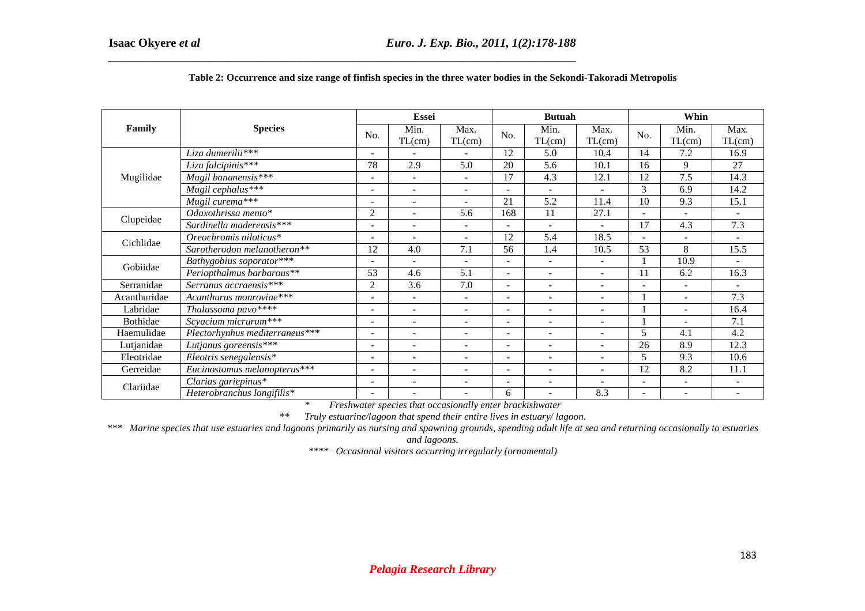| Family       | <b>Species</b>                    |                          | Essei                    |                          |        | <b>Butuah</b>            |                          |                          | Whin                     |                          |  |
|--------------|-----------------------------------|--------------------------|--------------------------|--------------------------|--------|--------------------------|--------------------------|--------------------------|--------------------------|--------------------------|--|
|              |                                   | No.                      | Min.<br>TL(cm)           | Max.<br>TL(cm)           | No.    | Min.<br>TL(cm)           | Max.<br>TL(cm)           | No.                      | Min.<br>TL(cm)           | Max.<br>TL(cm)           |  |
| Mugilidae    | Liza dumerilii***                 | $\qquad \qquad -$        |                          |                          | 12     | 5.0                      | 10.4                     | 14                       | 7.2                      | 16.9                     |  |
|              | Liza falcipinis***                | 78                       | 2.9                      | 5.0                      | 20     | 5.6                      | 10.1                     | 16                       | 9                        | 27                       |  |
|              | Mugil bananensis $\overline{***}$ | $\qquad \qquad -$        | $\sim$                   | $\overline{\phantom{a}}$ | 17     | 4.3                      | 12.1                     | 12                       | 7.5                      | 14.3                     |  |
|              | Mugil cephalus***                 | $\blacksquare$           | $\sim$                   | $\overline{\phantom{a}}$ | ÷.     | $\overline{\phantom{a}}$ | $\overline{\phantom{a}}$ | 3                        | 6.9                      | 14.2                     |  |
|              | Mugil curema***                   | $\overline{\phantom{a}}$ | $\overline{\phantom{a}}$ | $\overline{\phantom{a}}$ | 21     | 5.2                      | 11.4                     | 10                       | 9.3                      | 15.1                     |  |
|              | Odaxothrissa mento*               | $\overline{2}$           | $\overline{\phantom{a}}$ | 5.6                      | 168    | 11                       | 27.1                     | $\overline{a}$           |                          |                          |  |
| Clupeidae    | Sardinella maderensis***          | $\overline{\phantom{a}}$ | $\overline{\phantom{a}}$ | $\overline{\phantom{a}}$ | ÷      | $\overline{\phantom{a}}$ | $\blacksquare$           | 17                       | 4.3                      | 7.3                      |  |
| Cichlidae    | Oreochromis niloticus*            | ۰                        | $\overline{\phantom{a}}$ | $\overline{\phantom{0}}$ | 12     | 5.4                      | 18.5                     | $\overline{a}$           |                          |                          |  |
|              | Sarotherodon melanotheron**       | 12                       | 4.0                      | 7.1                      | 56     | 1.4                      | 10.5                     | 53                       | 8                        | 15.5                     |  |
|              | Bathygobius soporator***          | $\overline{\phantom{a}}$ | $\mathbf{r}$             | $\overline{a}$           | $\sim$ | $\overline{\phantom{a}}$ | $\mathbf{r}$             |                          | 10.9                     |                          |  |
| Gobiidae     | Periopthalmus barbarous**         | 53                       | 4.6                      | 5.1                      | ÷.     | $\overline{\phantom{a}}$ | $\overline{\phantom{0}}$ | 11                       | 6.2                      | 16.3                     |  |
| Serranidae   | Serranus accraensis***            | $\overline{c}$           | 3.6                      | 7.0                      | -      | $\overline{\phantom{a}}$ | $\overline{\phantom{a}}$ | $\overline{\phantom{a}}$ |                          |                          |  |
| Acanthuridae | Acanthurus monroviae***           | ۰                        |                          | $\sim$                   | ÷.     |                          | $\blacksquare$           |                          | $\sim$                   | 7.3                      |  |
| Labridae     | Thalassoma pavo****               | ۰                        | $\overline{\phantom{a}}$ | $\overline{\phantom{a}}$ |        | $\overline{\phantom{a}}$ | $\overline{\phantom{a}}$ |                          |                          | 16.4                     |  |
| Bothidae     | Scyacium micrurum***              | ۰                        | ÷                        | $\overline{\phantom{a}}$ | ۰      | $\overline{\phantom{a}}$ | $\overline{\phantom{a}}$ |                          |                          | 7.1                      |  |
| Haemulidae   | Plectorhynhus mediterraneus***    | $\overline{\phantom{a}}$ | $\overline{\phantom{a}}$ | $\overline{\phantom{a}}$ | Ξ.     | $\overline{\phantom{a}}$ | $\sim$                   | 5                        | 4.1                      | 4.2                      |  |
| Lutjanidae   | Lutjanus goreensis***             | $\overline{\phantom{a}}$ | $\overline{\phantom{a}}$ | $\overline{\phantom{a}}$ | Ξ.     | $\overline{\phantom{a}}$ | $\sim$                   | 26                       | 8.9                      | 12.3                     |  |
| Eleotridae   | Eleotris senegalensis*            | $\blacksquare$           | $\sim$                   | $\overline{\phantom{a}}$ | ÷.     | $\overline{\phantom{a}}$ | $\overline{a}$           | 5                        | 9.3                      | 10.6                     |  |
| Gerreidae    | Eucinostomus melanopterus***      | $\overline{\phantom{a}}$ | $\overline{\phantom{a}}$ | $\overline{\phantom{0}}$ | ۰      | $\overline{\phantom{a}}$ | $\blacksquare$           | 12                       | 8.2                      | 11.1                     |  |
| Clariidae    | Clarias gariepinus*               | $\overline{\phantom{a}}$ | $\overline{\phantom{a}}$ | $\blacksquare$           | Ξ.     | $\overline{\phantom{a}}$ | $\overline{\phantom{a}}$ | $\overline{\phantom{a}}$ | $\sim$                   | $\overline{\phantom{a}}$ |  |
|              | Heterobranchus longifilis*        | $\overline{\phantom{a}}$ | $\overline{\phantom{0}}$ | $\blacksquare$           | 6      | $\overline{\phantom{a}}$ | 8.3                      | $\overline{\phantom{a}}$ | $\overline{\phantom{a}}$ | $\overline{\phantom{a}}$ |  |

#### **Table 2: Occurrence and size range of finfish species in the three water bodies in the Sekondi-Takoradi Metropolis**

*\* Freshwater species that occasionally enter brackishwater* 

*\*\* Truly estuarine/lagoon that spend their entire lives in estuary/ lagoon.* 

*\*\*\* Marine species that use estuaries and lagoons primarily as nursing and spawning grounds, spending adult life at sea and returning occasionally to estuaries* 

*and lagoons.* 

*\*\*\*\* Occasional visitors occurring irregularly (ornamental)*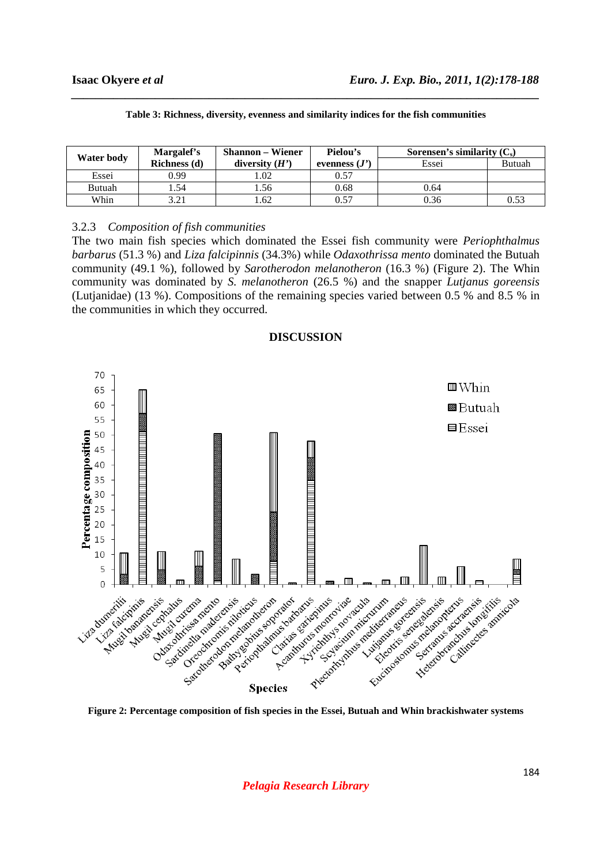| Water body | Margalef's   | <b>Shannon</b> – Wiener | Pielou's        | Sorensen's similarity $(C_s)$ |        |  |
|------------|--------------|-------------------------|-----------------|-------------------------------|--------|--|
|            | Richness (d) | diversity $(H')$        | evenness $(J')$ | Essei                         | Butuah |  |
| Essei      | 0.99         | .02                     | 0.57            |                               |        |  |
| Butuah     | 1.54         | .56                     | 0.68            | 0.64                          |        |  |
| Whin       |              | .62                     | 0.57            | 0.36                          | 0.53   |  |

| Table 3: Richness, diversity, evenness and similarity indices for the fish communities |  |  |  |  |
|----------------------------------------------------------------------------------------|--|--|--|--|
|----------------------------------------------------------------------------------------|--|--|--|--|

*\_\_\_\_\_\_\_\_\_\_\_\_\_\_\_\_\_\_\_\_\_\_\_\_\_\_\_\_\_\_\_\_\_\_\_\_\_\_\_\_\_\_\_\_\_\_\_\_\_\_\_\_\_\_\_\_\_\_\_\_\_\_\_\_\_\_\_\_\_\_\_\_\_\_\_\_\_\_*

### 3.2.3 *Composition of fish communities*

The two main fish species which dominated the Essei fish community were *Periophthalmus barbarus* (51.3 %) and *Liza falcipinnis* (34.3%) while *Odaxothrissa mento* dominated the Butuah community (49.1 %), followed by *Sarotherodon melanotheron* (16.3 %) (Figure 2). The Whin community was dominated by *S. melanotheron* (26.5 %) and the snapper *Lutjanus goreensis* (Lutjanidae) (13 %). Compositions of the remaining species varied between 0.5 % and 8.5 % in the communities in which they occurred.



#### **DISCUSSION**

**Figure 2: Percentage composition of fish species in the Essei, Butuah and Whin brackishwater systems** 

*Pelagia Research Library*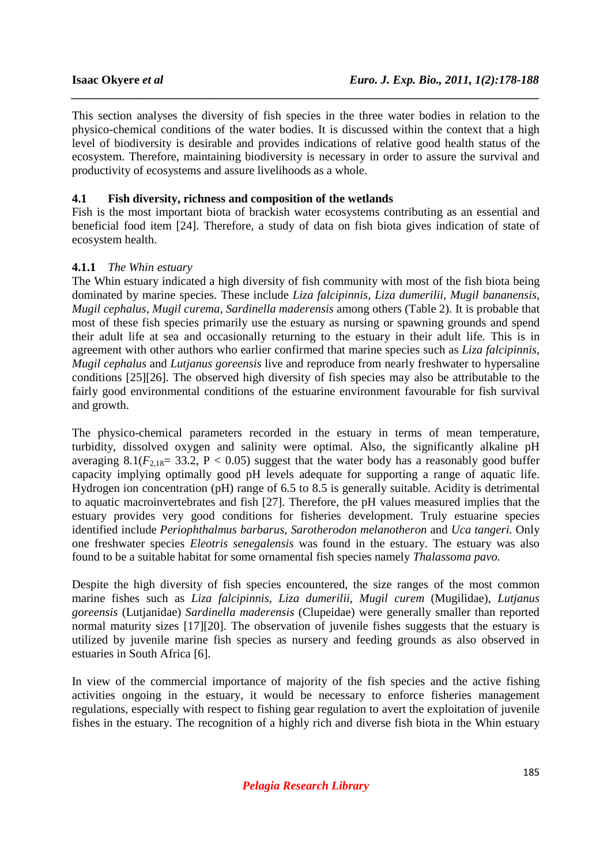This section analyses the diversity of fish species in the three water bodies in relation to the physico-chemical conditions of the water bodies. It is discussed within the context that a high level of biodiversity is desirable and provides indications of relative good health status of the ecosystem. Therefore, maintaining biodiversity is necessary in order to assure the survival and productivity of ecosystems and assure livelihoods as a whole.

*\_\_\_\_\_\_\_\_\_\_\_\_\_\_\_\_\_\_\_\_\_\_\_\_\_\_\_\_\_\_\_\_\_\_\_\_\_\_\_\_\_\_\_\_\_\_\_\_\_\_\_\_\_\_\_\_\_\_\_\_\_\_\_\_\_\_\_\_\_\_\_\_\_\_\_\_\_\_*

### **4.1 Fish diversity, richness and composition of the wetlands**

Fish is the most important biota of brackish water ecosystems contributing as an essential and beneficial food item [24]. Therefore, a study of data on fish biota gives indication of state of ecosystem health.

### **4.1.1** *The Whin estuary*

The Whin estuary indicated a high diversity of fish community with most of the fish biota being dominated by marine species. These include *Liza falcipinnis, Liza dumerilii, Mugil bananensis, Mugil cephalus, Mugil curema, Sardinella maderensis* among others (Table 2). It is probable that most of these fish species primarily use the estuary as nursing or spawning grounds and spend their adult life at sea and occasionally returning to the estuary in their adult life*.* This is in agreement with other authors who earlier confirmed that marine species such as *Liza falcipinnis*, *Mugil cephalus* and *Lutjanus goreensis* live and reproduce from nearly freshwater to hypersaline conditions [25][26]. The observed high diversity of fish species may also be attributable to the fairly good environmental conditions of the estuarine environment favourable for fish survival and growth.

The physico-chemical parameters recorded in the estuary in terms of mean temperature, turbidity, dissolved oxygen and salinity were optimal. Also, the significantly alkaline pH averaging 8.1( $F_{2,18}$ = 33.2, P < 0.05) suggest that the water body has a reasonably good buffer capacity implying optimally good pH levels adequate for supporting a range of aquatic life. Hydrogen ion concentration (pH) range of 6.5 to 8.5 is generally suitable. Acidity is detrimental to aquatic macroinvertebrates and fish [27]. Therefore, the pH values measured implies that the estuary provides very good conditions for fisheries development. Truly estuarine species identified include *Periophthalmus barbarus, Sarotherodon melanotheron* and *Uca tangeri.* Only one freshwater species *Eleotris senegalensis* was found in the estuary. The estuary was also found to be a suitable habitat for some ornamental fish species namely *Thalassoma pavo.* 

Despite the high diversity of fish species encountered, the size ranges of the most common marine fishes such as *Liza falcipinnis, Liza dumerilii, Mugil curem* (Mugilidae), *Lutjanus goreensis* (Lutjanidae) *Sardinella maderensis* (Clupeidae) were generally smaller than reported normal maturity sizes [17][20]. The observation of juvenile fishes suggests that the estuary is utilized by juvenile marine fish species as nursery and feeding grounds as also observed in estuaries in South Africa [6].

In view of the commercial importance of majority of the fish species and the active fishing activities ongoing in the estuary, it would be necessary to enforce fisheries management regulations, especially with respect to fishing gear regulation to avert the exploitation of juvenile fishes in the estuary. The recognition of a highly rich and diverse fish biota in the Whin estuary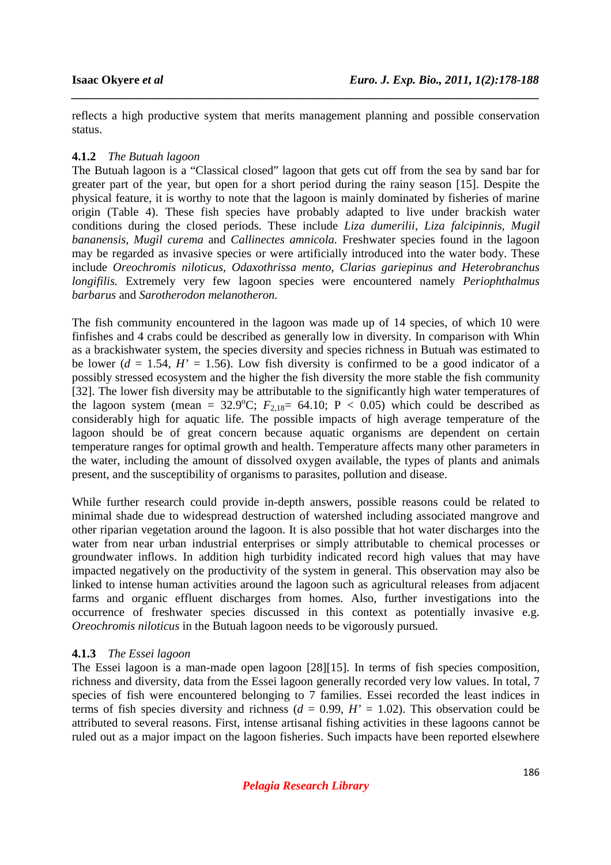reflects a high productive system that merits management planning and possible conservation status.

*\_\_\_\_\_\_\_\_\_\_\_\_\_\_\_\_\_\_\_\_\_\_\_\_\_\_\_\_\_\_\_\_\_\_\_\_\_\_\_\_\_\_\_\_\_\_\_\_\_\_\_\_\_\_\_\_\_\_\_\_\_\_\_\_\_\_\_\_\_\_\_\_\_\_\_\_\_\_*

## **4.1.2** *The Butuah lagoon*

The Butuah lagoon is a "Classical closed" lagoon that gets cut off from the sea by sand bar for greater part of the year, but open for a short period during the rainy season [15]. Despite the physical feature, it is worthy to note that the lagoon is mainly dominated by fisheries of marine origin (Table 4). These fish species have probably adapted to live under brackish water conditions during the closed periods. These include *Liza dumerilii, Liza falcipinnis, Mugil bananensis, Mugil curema* and *Callinectes amnicola.* Freshwater species found in the lagoon may be regarded as invasive species or were artificially introduced into the water body. These include *Oreochromis niloticus, Odaxothrissa mento, Clarias gariepinus and Heterobranchus longifilis.* Extremely very few lagoon species were encountered namely *Periophthalmus barbarus* and *Sarotherodon melanotheron.*

The fish community encountered in the lagoon was made up of 14 species, of which 10 were finfishes and 4 crabs could be described as generally low in diversity. In comparison with Whin as a brackishwater system, the species diversity and species richness in Butuah was estimated to be lower  $(d = 1.54, H' = 1.56)$ . Low fish diversity is confirmed to be a good indicator of a possibly stressed ecosystem and the higher the fish diversity the more stable the fish community [32]. The lower fish diversity may be attributable to the significantly high water temperatures of the lagoon system (mean =  $32.9^{\circ}$ C;  $F_{2,18}$ = 64.10; P < 0.05) which could be described as considerably high for aquatic life. The possible impacts of high average temperature of the lagoon should be of great concern because aquatic organisms are dependent on certain temperature ranges for optimal growth and health. Temperature affects many other parameters in the water, including the amount of dissolved oxygen available, the types of plants and animals present, and the susceptibility of organisms to parasites, pollution and disease.

While further research could provide in-depth answers, possible reasons could be related to minimal shade due to widespread destruction of watershed including associated mangrove and other riparian vegetation around the lagoon. It is also possible that hot water discharges into the water from near urban industrial enterprises or simply attributable to chemical processes or groundwater inflows. In addition high turbidity indicated record high values that may have impacted negatively on the productivity of the system in general. This observation may also be linked to intense human activities around the lagoon such as agricultural releases from adjacent farms and organic effluent discharges from homes. Also, further investigations into the occurrence of freshwater species discussed in this context as potentially invasive e.g. *Oreochromis niloticus* in the Butuah lagoon needs to be vigorously pursued.

### **4.1.3** *The Essei lagoon*

The Essei lagoon is a man-made open lagoon [28][15]. In terms of fish species composition, richness and diversity, data from the Essei lagoon generally recorded very low values. In total, 7 species of fish were encountered belonging to 7 families. Essei recorded the least indices in terms of fish species diversity and richness  $(d = 0.99, H' = 1.02)$ . This observation could be attributed to several reasons. First, intense artisanal fishing activities in these lagoons cannot be ruled out as a major impact on the lagoon fisheries. Such impacts have been reported elsewhere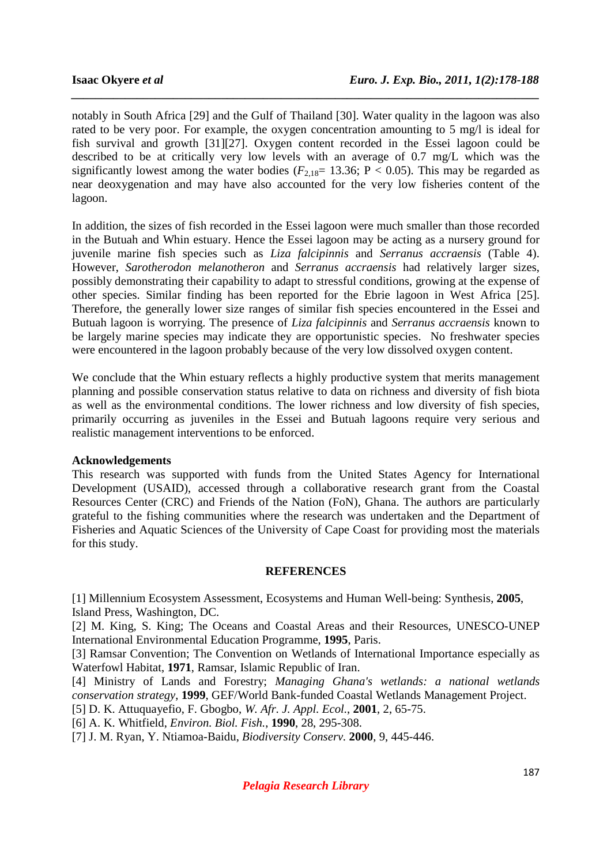notably in South Africa [29] and the Gulf of Thailand [30]. Water quality in the lagoon was also rated to be very poor. For example, the oxygen concentration amounting to 5 mg/l is ideal for fish survival and growth [31][27]. Oxygen content recorded in the Essei lagoon could be described to be at critically very low levels with an average of 0.7 mg/L which was the significantly lowest among the water bodies ( $F_{2,18}$ = 13.36; P < 0.05). This may be regarded as near deoxygenation and may have also accounted for the very low fisheries content of the lagoon.

*\_\_\_\_\_\_\_\_\_\_\_\_\_\_\_\_\_\_\_\_\_\_\_\_\_\_\_\_\_\_\_\_\_\_\_\_\_\_\_\_\_\_\_\_\_\_\_\_\_\_\_\_\_\_\_\_\_\_\_\_\_\_\_\_\_\_\_\_\_\_\_\_\_\_\_\_\_\_*

In addition, the sizes of fish recorded in the Essei lagoon were much smaller than those recorded in the Butuah and Whin estuary. Hence the Essei lagoon may be acting as a nursery ground for juvenile marine fish species such as *Liza falcipinnis* and *Serranus accraensis* (Table 4). However, *Sarotherodon melanotheron* and *Serranus accraensis* had relatively larger sizes, possibly demonstrating their capability to adapt to stressful conditions, growing at the expense of other species. Similar finding has been reported for the Ebrie lagoon in West Africa [25]. Therefore, the generally lower size ranges of similar fish species encountered in the Essei and Butuah lagoon is worrying. The presence of *Liza falcipinnis* and *Serranus accraensis* known to be largely marine species may indicate they are opportunistic species. No freshwater species were encountered in the lagoon probably because of the very low dissolved oxygen content.

We conclude that the Whin estuary reflects a highly productive system that merits management planning and possible conservation status relative to data on richness and diversity of fish biota as well as the environmental conditions. The lower richness and low diversity of fish species, primarily occurring as juveniles in the Essei and Butuah lagoons require very serious and realistic management interventions to be enforced.

#### **Acknowledgements**

This research was supported with funds from the United States Agency for International Development (USAID), accessed through a collaborative research grant from the Coastal Resources Center (CRC) and Friends of the Nation (FoN), Ghana. The authors are particularly grateful to the fishing communities where the research was undertaken and the Department of Fisheries and Aquatic Sciences of the University of Cape Coast for providing most the materials for this study.

#### **REFERENCES**

[1] Millennium Ecosystem Assessment, Ecosystems and Human Well-being: Synthesis, **2005**, Island Press, Washington, DC.

[2] M. King, S. King; The Oceans and Coastal Areas and their Resources, UNESCO-UNEP International Environmental Education Programme, **1995**, Paris.

[3] Ramsar Convention; The Convention on Wetlands of International Importance especially as Waterfowl Habitat, **1971**, Ramsar, Islamic Republic of Iran.

[4] Ministry of Lands and Forestry; *Managing Ghana's wetlands: a national wetlands conservation strategy*, **1999**, GEF/World Bank-funded Coastal Wetlands Management Project.

[5] D. K. Attuquayefio, F. Gbogbo, *W. Afr. J. Appl. Ecol.*, **2001**, 2, 65-75.

[6] A. K. Whitfield, *Environ. Biol. Fish.*, **1990**, 28, 295-308.

[7] J. M. Ryan, Y. Ntiamoa-Baidu, *Biodiversity Conserv.* **2000**, 9, 445-446.